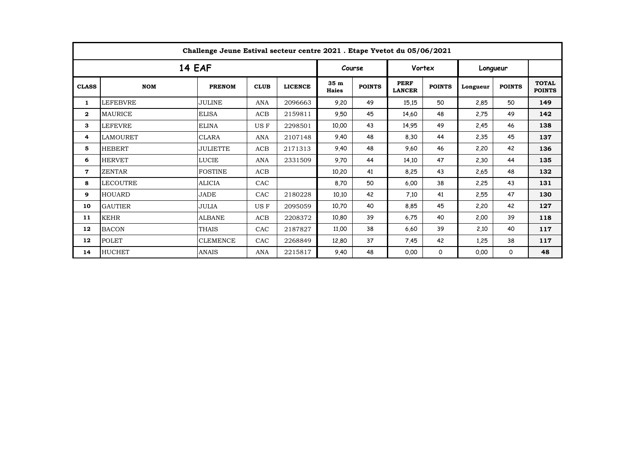| Challenge Jeune Estival secteur centre 2021 . Etape Yvetot du 05/06/2021 |                 |                 |             |                |                                 |               |                              |               |          |               |                               |  |
|--------------------------------------------------------------------------|-----------------|-----------------|-------------|----------------|---------------------------------|---------------|------------------------------|---------------|----------|---------------|-------------------------------|--|
| <b>14 EAF</b>                                                            |                 |                 |             |                |                                 | Course        |                              | Vortex        |          | Longueur      |                               |  |
| <b>CLASS</b>                                                             | <b>NOM</b>      | <b>PRENOM</b>   | <b>CLUB</b> | <b>LICENCE</b> | 35 <sub>m</sub><br><b>Haies</b> | <b>POINTS</b> | <b>PERF</b><br><b>LANCER</b> | <b>POINTS</b> | Longueur | <b>POINTS</b> | <b>TOTAL</b><br><b>POINTS</b> |  |
| 1                                                                        | LEFEBVRE        | <b>JULINE</b>   | <b>ANA</b>  | 2096663        | 9,20                            | 49            | 15,15                        | 50            | 2,85     | 50            | 149                           |  |
| $\mathbf{2}$                                                             | MAURICE         | <b>ELISA</b>    | <b>ACB</b>  | 2159811        | 9,50                            | 45            | 14,60                        | 48            | 2,75     | 49            | 142                           |  |
| 3                                                                        | LEFEVRE         | <b>ELINA</b>    | US F        | 2298501        | 10,00                           | 43            | 14.95                        | 49            | 2,45     | 46            | 138                           |  |
| 4                                                                        | LAMOURET        | <b>CLARA</b>    | <b>ANA</b>  | 2107148        | 9,40                            | 48            | 8,30                         | 44            | 2,35     | 45            | 137                           |  |
| 5                                                                        | <b>HEBERT</b>   | <b>JULIETTE</b> | <b>ACB</b>  | 2171313        | 9,40                            | 48            | 9,60                         | 46            | 2,20     | 42            | 136                           |  |
| 6                                                                        | <b>HERVET</b>   | <b>LUCIE</b>    | ANA         | 2331509        | 9,70                            | 44            | 14,10                        | 47            | 2,30     | 44            | 135                           |  |
| $\mathbf 7$                                                              | <b>ZENTAR</b>   | FOSTINE         | ACB         |                | 10,20                           | 41            | 8,25                         | 43            | 2,65     | 48            | 132                           |  |
| 8                                                                        | <b>LECOUTRE</b> | <b>ALICIA</b>   | CAC         |                | 8,70                            | 50            | 6,00                         | 38            | 2,25     | 43            | 131                           |  |
| 9                                                                        | <b>HOUARD</b>   | <b>JADE</b>     | CAC         | 2180228        | 10,10                           | 42            | 7.10                         | 41            | 2,55     | 47            | 130                           |  |
| 10                                                                       | <b>GAUTIER</b>  | <b>JULIA</b>    | US F        | 2095059        | 10,70                           | 40            | 8,85                         | 45            | 2,20     | 42            | 127                           |  |
| 11                                                                       | <b>KEHR</b>     | <b>ALBANE</b>   | ACB         | 2208372        | 10,80                           | 39            | 6,75                         | 40            | 2,00     | 39            | 118                           |  |
| 12                                                                       | <b>BACON</b>    | <b>THAIS</b>    | CAC         | 2187827        | 11,00                           | 38            | 6,60                         | 39            | 2,10     | 40            | 117                           |  |
| 12                                                                       | <b>POLET</b>    | <b>CLEMENCE</b> | CAC         | 2268849        | 12,80                           | 37            | 7,45                         | 42            | 1,25     | 38            | 117                           |  |
| 14                                                                       | <b>HUCHET</b>   | <b>ANAIS</b>    | ANA         | 2215817        | 9,40                            | 48            | 0.00                         | 0             | 0.00     | $\Omega$      | 48                            |  |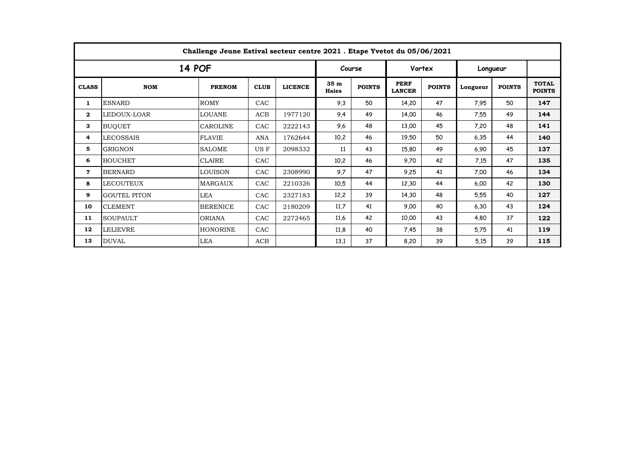| Challenge Jeune Estival secteur centre 2021 . Etape Yvetot du 05/06/2021 |                     |                 |             |                |                                 |               |                              |               |          |               |                               |  |
|--------------------------------------------------------------------------|---------------------|-----------------|-------------|----------------|---------------------------------|---------------|------------------------------|---------------|----------|---------------|-------------------------------|--|
| <b>14 POF</b>                                                            |                     |                 |             |                |                                 | Course        |                              | Vortex        |          | Longueur      |                               |  |
| <b>CLASS</b>                                                             | <b>NOM</b>          | <b>PRENOM</b>   | <b>CLUB</b> | <b>LICENCE</b> | 35 <sub>m</sub><br><b>Haies</b> | <b>POINTS</b> | <b>PERF</b><br><b>LANCER</b> | <b>POINTS</b> | Longueur | <b>POINTS</b> | <b>TOTAL</b><br><b>POINTS</b> |  |
| 1                                                                        | <b>ESNARD</b>       | <b>ROMY</b>     | CAC         |                | 9,3                             | 50            | 14,20                        | 47            | 7,95     | 50            | 147                           |  |
| $\mathbf{2}$                                                             | LEDOUX-LOAR         | <b>LOUANE</b>   | ACB         | 1977120        | 9,4                             | 49            | 14,00                        | 46            | 7,55     | 49            | 144                           |  |
| 3                                                                        | <b>BUQUET</b>       | <b>CAROLINE</b> | CAC         | 2222143        | 9,6                             | 48            | 13,00                        | 45            | 7,20     | 48            | 141                           |  |
| 4                                                                        | <b>LECOSSAIS</b>    | <b>FLAVIE</b>   | <b>ANA</b>  | 1762644        | 10,2                            | 46            | 19,50                        | 50            | 6,35     | 44            | 140                           |  |
| 5                                                                        | <b>GRIGNON</b>      | <b>SALOME</b>   | US F        | 2098332        | 11                              | 43            | 15,80                        | 49            | 6,90     | 45            | 137                           |  |
| 6                                                                        | <b>BOUCHET</b>      | <b>CLAIRE</b>   | CAC         |                | 10,2                            | 46            | 9,70                         | 42            | 7,15     | 47            | 135                           |  |
| $\mathbf 7$                                                              | <b>BERNARD</b>      | <b>LOUISON</b>  | CAC         | 2308990        | 9.7                             | 47            | 9,25                         | 41            | 7,00     | 46            | 134                           |  |
| 8                                                                        | <b>LECOUTEUX</b>    | <b>MARGAUX</b>  | CAC         | 2210326        | 10.5                            | 44            | 12,30                        | 44            | 6.00     | 42            | 130                           |  |
| 9                                                                        | <b>GOUTEL PITON</b> | LEA             | CAC         | 2327183        | 12,2                            | 39            | 14,30                        | 48            | 5,55     | 40            | 127                           |  |
| 10                                                                       | <b>CLEMENT</b>      | <b>BERENICE</b> | CAC         | 2180209        | 11.7                            | 41            | 9.00                         | 40            | 6,30     | 43            | 124                           |  |
| 11                                                                       | <b>SOUPAULT</b>     | <b>ORIANA</b>   | CAC         | 2272465        | 11,6                            | 42            | 10,00                        | 43            | 4,80     | 37            | 122                           |  |
| 12                                                                       | <b>LELIEVRE</b>     | <b>HONORINE</b> | CAC         |                | 11,8                            | 40            | 7,45                         | 38            | 5,75     | 41            | 119                           |  |
| 13                                                                       | <b>DUVAL</b>        | LEA             | ACB         |                | 13,1                            | 37            | 8,20                         | 39            | 5.15     | 39            | 115                           |  |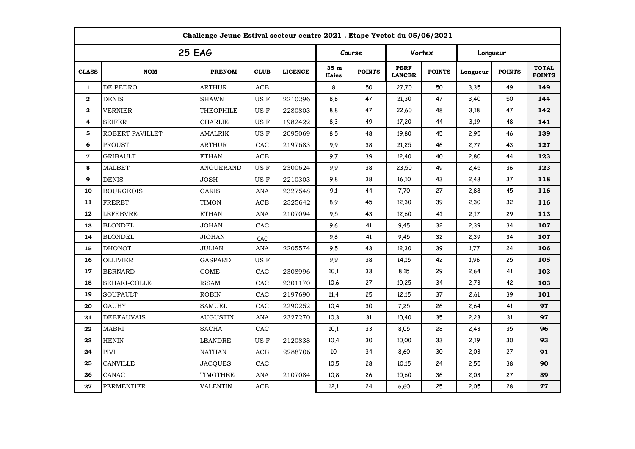| Challenge Jeune Estival secteur centre 2021 . Etape Yvetot du 05/06/2021 |                   |                  |             |                |                      |               |                              |               |          |               |                               |  |
|--------------------------------------------------------------------------|-------------------|------------------|-------------|----------------|----------------------|---------------|------------------------------|---------------|----------|---------------|-------------------------------|--|
| <b>25 EAG</b>                                                            |                   |                  |             |                |                      | Course        |                              | Vortex        |          | Longueur      |                               |  |
| <b>CLASS</b>                                                             | <b>NOM</b>        | <b>PRENOM</b>    | <b>CLUB</b> | <b>LICENCE</b> | 35 m<br><b>Haies</b> | <b>POINTS</b> | <b>PERF</b><br><b>LANCER</b> | <b>POINTS</b> | Longueur | <b>POINTS</b> | <b>TOTAL</b><br><b>POINTS</b> |  |
| $\mathbf{1}$                                                             | DE PEDRO          | <b>ARTHUR</b>    | ACB         |                | 8                    | 50            | 27,70                        | 50            | 3,35     | 49            | 149                           |  |
| $\mathbf{2}$                                                             | <b>DENIS</b>      | <b>SHAWN</b>     | US F        | 2210296        | 8,8                  | 47            | 21,30                        | 47            | 3,40     | 50            | 144                           |  |
| 3                                                                        | <b>VERNIER</b>    | THEOPHILE        | US F        | 2280803        | 8,8                  | 47            | 22,60                        | 48            | 3,18     | 47            | 142                           |  |
| 4                                                                        | SEIFER            | <b>CHARLIE</b>   | US F        | 1982422        | 8,3                  | 49            | 17,20                        | 44            | 3,19     | 48            | 141                           |  |
| 5                                                                        | ROBERT PAVILLET   | <b>AMALRIK</b>   | US F        | 2095069        | 8,5                  | 48            | 19,80                        | 45            | 2,95     | 46            | 139                           |  |
| 6                                                                        | <b>PROUST</b>     | ARTHUR           | CAC         | 2197683        | 9,9                  | 38            | 21,25                        | 46            | 2,77     | 43            | 127                           |  |
| $\mathbf 7$                                                              | GRIBAULT          | <b>ETHAN</b>     | ACB         |                | 9,7                  | 39            | 12,40                        | 40            | 2,80     | 44            | 123                           |  |
| 8                                                                        | <b>MALBET</b>     | <b>ANGUERAND</b> | US F        | 2300624        | 9,9                  | 38            | 23,50                        | 49            | 2,45     | 36            | 123                           |  |
| $\mathbf{9}$                                                             | <b>DENIS</b>      | <b>JOSH</b>      | US F        | 2210303        | 9,8                  | 38            | 16,10                        | 43            | 2,48     | 37            | 118                           |  |
| 10                                                                       | <b>BOURGEOIS</b>  | GARIS            | <b>ANA</b>  | 2327548        | 9,1                  | 44            | 7,70                         | 27            | 2,88     | 45            | 116                           |  |
| 11                                                                       | <b>FRERET</b>     | <b>TIMON</b>     | ACB         | 2325642        | 8,9                  | 45            | 12,30                        | 39            | 2,30     | 32            | 116                           |  |
| 12                                                                       | <b>LEFEBVRE</b>   | <b>ETHAN</b>     | <b>ANA</b>  | 2107094        | 9,5                  | 43            | 12,60                        | 41            | 2,17     | 29            | 113                           |  |
| 13                                                                       | <b>BLONDEL</b>    | <b>JOHAN</b>     | CAC         |                | 9,6                  | 41            | 9,45                         | 32            | 2,39     | 34            | 107                           |  |
| 14                                                                       | <b>BLONDEL</b>    | <b>JIOHAN</b>    | CAC         |                | 9,6                  | 41            | 9,45                         | 32            | 2,39     | 34            | 107                           |  |
| 15                                                                       | <b>DHONOT</b>     | JULIAN           | <b>ANA</b>  | 2205574        | 9,5                  | 43            | 12,30                        | 39            | 1,77     | 24            | 106                           |  |
| 16                                                                       | <b>OLLIVIER</b>   | <b>GASPARD</b>   | US F        |                | 9,9                  | 38            | 14,15                        | 42            | 1,96     | 25            | 105                           |  |
| 17                                                                       | <b>BERNARD</b>    | COME             | CAC         | 2308996        | 10.1                 | 33            | 8,15                         | 29            | 2,64     | 41            | 103                           |  |
| 18                                                                       | SEHAKI-COLLE      | ISSAM            | CAC         | 2301170        | 10,6                 | 27            | 10,25                        | 34            | 2,73     | 42            | 103                           |  |
| 19                                                                       | <b>SOUPAULT</b>   | <b>ROBIN</b>     | CAC         | 2197690        | 11,4                 | 25            | 12,15                        | 37            | 2,61     | 39            | 101                           |  |
| 20                                                                       | <b>GAUHY</b>      | <b>SAMUEL</b>    | CAC         | 2290252        | 10,4                 | 30            | 7,25                         | 26            | 2,64     | 41            | 97                            |  |
| 21                                                                       | <b>DEBEAUVAIS</b> | <b>AUGUSTIN</b>  | ANA         | 2327270        | 10,3                 | 31            | 10,40                        | 35            | 2,23     | 31            | 97                            |  |
| 22                                                                       | <b>MABRI</b>      | <b>SACHA</b>     | ${\rm CAC}$ |                | 10,1                 | 33            | 8,05                         | 28            | 2,43     | 35            | 96                            |  |
| 23                                                                       | <b>HENIN</b>      | <b>LEANDRE</b>   | US F        | 2120838        | 10,4                 | 30            | 10,00                        | 33            | 2,19     | 30            | 93                            |  |
| 24                                                                       | <b>PIVI</b>       | <b>NATHAN</b>    | ACB         | 2288706        | 10                   | 34            | 8,60                         | 30            | 2,03     | 27            | 91                            |  |
| 25                                                                       | <b>CANVILLE</b>   | <b>JACQUES</b>   | CAC         |                | 10,5                 | 28            | 10,15                        | 24            | 2,55     | 38            | 90                            |  |
| 26                                                                       | CANAC             | <b>TIMOTHEE</b>  | <b>ANA</b>  | 2107084        | 10,8                 | 26            | 10,60                        | 36            | 2,03     | 27            | 89                            |  |
| 27                                                                       | <b>PERMENTIER</b> | <b>VALENTIN</b>  | <b>ACB</b>  |                | 12,1                 | 24            | 6,60                         | 25            | 2,05     | 28            | 77                            |  |